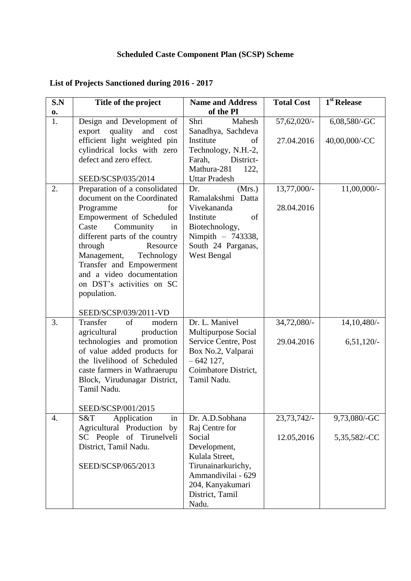## **Scheduled Caste Component Plan (SCSP) Scheme**

| S.N | Title of the project           | <b>Name and Address</b> | <b>Total Cost</b> | 1 <sup>st</sup> Release |
|-----|--------------------------------|-------------------------|-------------------|-------------------------|
| 0.  |                                | of the PI               |                   |                         |
| 1.  | Design and Development of      | Shri<br>Mahesh          | 57,62,020/-       | 6,08,580/-GC            |
|     | quality and<br>export<br>cost  | Sanadhya, Sachdeva      |                   |                         |
|     | efficient light weighted pin   | Institute<br>οf         | 27.04.2016        | 40,00,000/-CC           |
|     | cylindrical locks with zero    | Technology, N.H.-2,     |                   |                         |
|     | defect and zero effect.        | Farah,<br>District-     |                   |                         |
|     |                                | Mathura-281<br>122,     |                   |                         |
|     | SEED/SCSP/035/2014             | <b>Uttar Pradesh</b>    |                   |                         |
| 2.  | Preparation of a consolidated  | Dr.<br>(Mrs.)           | 13,77,000/-       | 11,00,000/-             |
|     | document on the Coordinated    | Ramalakshmi Datta       |                   |                         |
|     | Programme<br>for               | Vivekananda             | 28.04.2016        |                         |
|     | Empowerment of Scheduled       | Institute<br>of         |                   |                         |
|     | Community<br>Caste<br>in       | Biotechnology,          |                   |                         |
|     | different parts of the country | Nimpith - 743338,       |                   |                         |
|     | through<br>Resource            | South 24 Parganas,      |                   |                         |
|     | Management,<br>Technology      | West Bengal             |                   |                         |
|     | Transfer and Empowerment       |                         |                   |                         |
|     | and a video documentation      |                         |                   |                         |
|     | on DST's activities on SC      |                         |                   |                         |
|     | population.                    |                         |                   |                         |
|     |                                |                         |                   |                         |
|     | SEED/SCSP/039/2011-VD          |                         |                   |                         |
| 3.  | Transfer<br>of<br>modern       | Dr. L. Manivel          | 34,72,080/-       | 14, 10, 480/-           |
|     | production<br>agricultural     | Multipurpose Social     |                   |                         |
|     | technologies and promotion     | Service Centre, Post    | 29.04.2016        | $6,51,120/-$            |
|     | of value added products for    | Box No.2, Valparai      |                   |                         |
|     | the livelihood of Scheduled    | $-642$ 127,             |                   |                         |
|     | caste farmers in Wathraerupu   | Coimbatore District,    |                   |                         |
|     | Block, Virudunagar District,   | Tamil Nadu.             |                   |                         |
|     | Tamil Nadu.                    |                         |                   |                         |
|     | SEED/SCSP/001/2015             |                         |                   |                         |
| 4.  | in<br>Application<br>S&T       | Dr. A.D.Sobhana         | 23,73,742/-       | 9,73,080/-GC            |
|     | Agricultural Production<br>by  | Raj Centre for          |                   |                         |
|     | SC People of Tirunelveli       | Social                  | 12.05,2016        | 5,35,582/-CC            |
|     | District, Tamil Nadu.          | Development,            |                   |                         |
|     |                                | Kulala Street,          |                   |                         |
|     | SEED/SCSP/065/2013             | Tirunainarkurichy,      |                   |                         |
|     |                                | Ammandivilai - 629      |                   |                         |
|     |                                | 204, Kanyakumari        |                   |                         |
|     |                                | District, Tamil         |                   |                         |
|     |                                | Nadu.                   |                   |                         |

## **List of Projects Sanctioned during 2016 - 2017**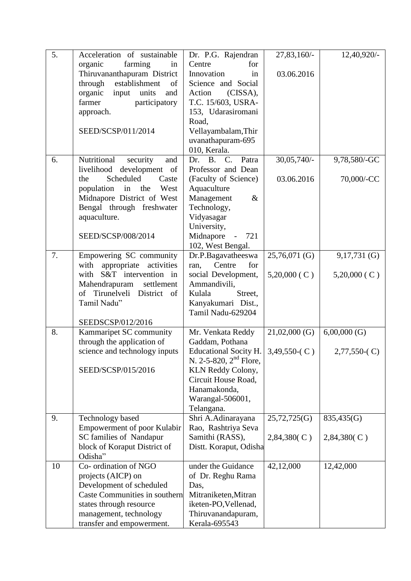| 5. | Acceleration of sustainable    | Dr. P.G. Rajendran             | 27,83,160/-        | 12,40,920/-        |
|----|--------------------------------|--------------------------------|--------------------|--------------------|
|    | farming<br>organic<br>in       | Centre<br>for                  |                    |                    |
|    | Thiruvananthapuram District    | Innovation<br>in               | 03.06.2016         |                    |
|    | establishment<br>through<br>of | Science and Social             |                    |                    |
|    | input units<br>organic<br>and  | (CISSA),<br>Action             |                    |                    |
|    | farmer<br>participatory        | T.C. 15/603, USRA-             |                    |                    |
|    | approach.                      | 153, Udarasiromani             |                    |                    |
|    |                                | Road,                          |                    |                    |
|    | SEED/SCSP/011/2014             | Vellayambalam, Thir            |                    |                    |
|    |                                | uvanathapuram-695              |                    |                    |
|    |                                | 010, Kerala.                   |                    |                    |
| 6. | Nutritional<br>security<br>and | Patra<br>Dr. B.<br>$C_{\cdot}$ | 30,05,740/-        | 9,78,580/-GC       |
|    | livelihood development of      | Professor and Dean             |                    |                    |
|    | Scheduled<br>the<br>Caste      | (Faculty of Science)           | 03.06.2016         | 70,000/-CC         |
|    | population in the<br>West      | Aquaculture                    |                    |                    |
|    | Midnapore District of West     | $\&$                           |                    |                    |
|    |                                | Management                     |                    |                    |
|    | Bengal through freshwater      | Technology,                    |                    |                    |
|    | aquaculture.                   | Vidyasagar                     |                    |                    |
|    |                                | University,                    |                    |                    |
|    | SEED/SCSP/008/2014             | Midnapore<br>721               |                    |                    |
|    |                                | 102, West Bengal.              |                    |                    |
| 7. | Empowering SC community        | Dr.P.Bagavatheeswa             | $25,76,071$ (G)    | $9,17,731$ (G)     |
|    | with<br>appropriate activities | Centre<br>for<br>ran,          |                    |                    |
|    | with S&T intervention in       | social Development,            | $5,20,000$ (C)     | $5,20,000$ (C)     |
|    | Mahendrapuram<br>settlement    | Ammandivili,                   |                    |                    |
|    | of Tirunelveli District of     | Kulala<br>Street,              |                    |                    |
|    | Tamil Nadu"                    | Kanyakumari Dist.,             |                    |                    |
|    |                                | Tamil Nadu-629204              |                    |                    |
|    | SEEDSCSP/012/2016              |                                |                    |                    |
| 8. | Kammaripet SC community        | Mr. Venkata Reddy              | $21,02,000$ (G)    | 6,00,000(G)        |
|    | through the application of     | Gaddam, Pothana                |                    |                    |
|    | science and technology inputs  | Educational Socity H.          | $3,49,550$ - $(C)$ | $2,77,550$ - $(C)$ |
|    |                                | N. 2-5-820, $2^{nd}$ Flore,    |                    |                    |
|    | SEED/SCSP/015/2016             | KLN Reddy Colony,              |                    |                    |
|    |                                | Circuit House Road,            |                    |                    |
|    |                                | Hanamakonda,                   |                    |                    |
|    |                                | Warangal-506001,               |                    |                    |
|    |                                | Telangana.                     |                    |                    |
| 9. | Technology based               | Shri A.Adinarayana             | 25,72,725(G)       | 835,435(G)         |
|    | Empowerment of poor Kulabir    | Rao, Rashtriya Seva            |                    |                    |
|    | <b>SC families of Nandapur</b> | Samithi (RASS),                | 2,84,380(C)        | 2,84,380(C)        |
|    | block of Koraput District of   | Distt. Koraput, Odisha         |                    |                    |
|    | Odisha"                        |                                |                    |                    |
| 10 | Co- ordination of NGO          | under the Guidance             | 42,12,000          | 12,42,000          |
|    | projects (AICP) on             | of Dr. Reghu Rama              |                    |                    |
|    | Development of scheduled       | Das,                           |                    |                    |
|    | Caste Communities in southern  | Mitraniketen, Mitran           |                    |                    |
|    | states through resource        | iketen-PO, Vellenad,           |                    |                    |
|    | management, technology         | Thiruvanandapuram,             |                    |                    |
|    | transfer and empowerment.      | Kerala-695543                  |                    |                    |